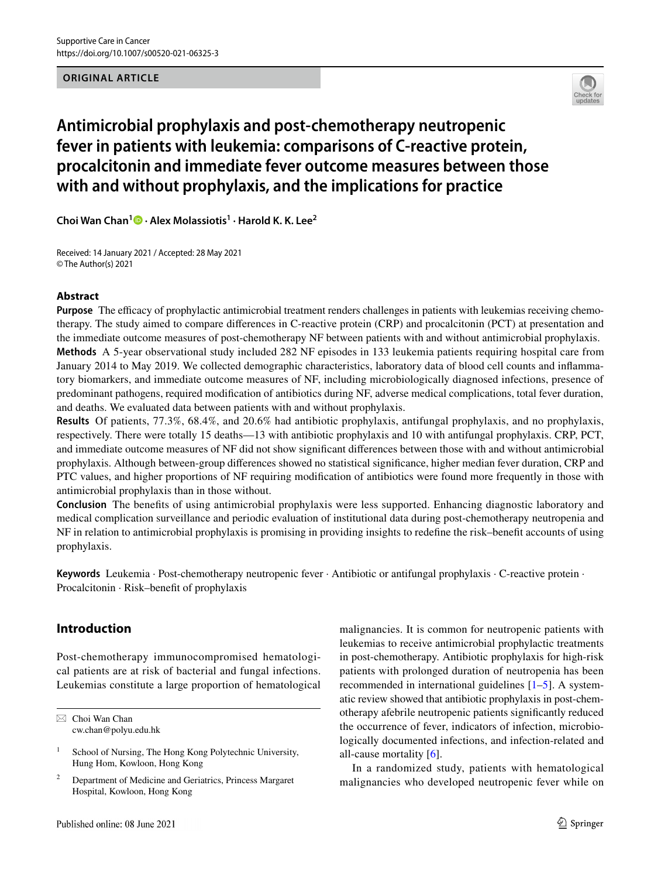# **ORIGINAL ARTICLE**



# **Antimicrobial prophylaxis and post‑chemotherapy neutropenic fever in patients with leukemia: comparisons of C‑reactive protein, procalcitonin and immediate fever outcome measures between those with and without prophylaxis, and the implications for practice**

**Choi Wan Chan1  [·](http://orcid.org/0000-0003-0267-2962) Alex Molassiotis1 · Harold K. K. Lee2**

Received: 14 January 2021 / Accepted: 28 May 2021 © The Author(s) 2021

# **Abstract**

**Purpose** The efficacy of prophylactic antimicrobial treatment renders challenges in patients with leukemias receiving chemotherapy. The study aimed to compare diferences in C-reactive protein (CRP) and procalcitonin (PCT) at presentation and the immediate outcome measures of post-chemotherapy NF between patients with and without antimicrobial prophylaxis. **Methods** A 5-year observational study included 282 NF episodes in 133 leukemia patients requiring hospital care from January 2014 to May 2019. We collected demographic characteristics, laboratory data of blood cell counts and infammatory biomarkers, and immediate outcome measures of NF, including microbiologically diagnosed infections, presence of predominant pathogens, required modifcation of antibiotics during NF, adverse medical complications, total fever duration, and deaths. We evaluated data between patients with and without prophylaxis.

**Results** Of patients, 77.3%, 68.4%, and 20.6% had antibiotic prophylaxis, antifungal prophylaxis, and no prophylaxis, respectively. There were totally 15 deaths—13 with antibiotic prophylaxis and 10 with antifungal prophylaxis. CRP, PCT, and immediate outcome measures of NF did not show signifcant diferences between those with and without antimicrobial prophylaxis. Although between-group diferences showed no statistical signifcance, higher median fever duration, CRP and PTC values, and higher proportions of NF requiring modifcation of antibiotics were found more frequently in those with antimicrobial prophylaxis than in those without.

**Conclusion** The benefts of using antimicrobial prophylaxis were less supported. Enhancing diagnostic laboratory and medical complication surveillance and periodic evaluation of institutional data during post-chemotherapy neutropenia and NF in relation to antimicrobial prophylaxis is promising in providing insights to redefne the risk–beneft accounts of using prophylaxis.

**Keywords** Leukemia · Post-chemotherapy neutropenic fever · Antibiotic or antifungal prophylaxis · C-reactive protein · Procalcitonin · Risk–beneft of prophylaxis

# **Introduction**

Post-chemotherapy immunocompromised hematological patients are at risk of bacterial and fungal infections. Leukemias constitute a large proportion of hematological

 $\boxtimes$  Choi Wan Chan cw.chan@polyu.edu.hk malignancies. It is common for neutropenic patients with leukemias to receive antimicrobial prophylactic treatments in post-chemotherapy. Antibiotic prophylaxis for high-risk patients with prolonged duration of neutropenia has been recommended in international guidelines [\[1](#page-7-0)[–5](#page-7-1)]. A systematic review showed that antibiotic prophylaxis in post-chemotherapy afebrile neutropenic patients signifcantly reduced the occurrence of fever, indicators of infection, microbiologically documented infections, and infection-related and all-cause mortality [[6\]](#page-7-2).

In a randomized study, patients with hematological malignancies who developed neutropenic fever while on

<sup>&</sup>lt;sup>1</sup> School of Nursing, The Hong Kong Polytechnic University, Hung Hom, Kowloon, Hong Kong

<sup>2</sup> Department of Medicine and Geriatrics, Princess Margaret Hospital, Kowloon, Hong Kong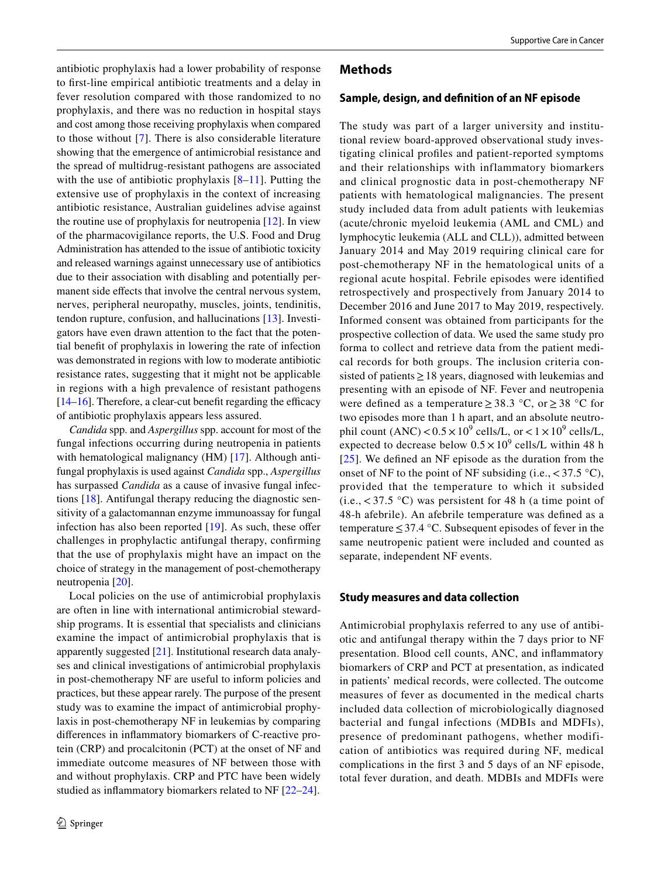antibiotic prophylaxis had a lower probability of response to frst-line empirical antibiotic treatments and a delay in fever resolution compared with those randomized to no prophylaxis, and there was no reduction in hospital stays and cost among those receiving prophylaxis when compared to those without [\[7](#page-7-3)]. There is also considerable literature showing that the emergence of antimicrobial resistance and the spread of multidrug-resistant pathogens are associated with the use of antibiotic prophylaxis  $[8-11]$  $[8-11]$  $[8-11]$ . Putting the extensive use of prophylaxis in the context of increasing antibiotic resistance, Australian guidelines advise against the routine use of prophylaxis for neutropenia [[12\]](#page-7-6). In view of the pharmacovigilance reports, the U.S. Food and Drug Administration has attended to the issue of antibiotic toxicity and released warnings against unnecessary use of antibiotics due to their association with disabling and potentially permanent side efects that involve the central nervous system, nerves, peripheral neuropathy, muscles, joints, tendinitis, tendon rupture, confusion, and hallucinations [\[13](#page-7-7)]. Investigators have even drawn attention to the fact that the potential beneft of prophylaxis in lowering the rate of infection was demonstrated in regions with low to moderate antibiotic resistance rates, suggesting that it might not be applicable in regions with a high prevalence of resistant pathogens  $[14–16]$  $[14–16]$  $[14–16]$ . Therefore, a clear-cut benefit regarding the efficacy of antibiotic prophylaxis appears less assured.

*Candida* spp. and *Aspergillus* spp. account for most of the fungal infections occurring during neutropenia in patients with hematological malignancy (HM) [[17\]](#page-7-10). Although antifungal prophylaxis is used against *Candida* spp., *Aspergillus* has surpassed *Candida* as a cause of invasive fungal infections [[18\]](#page-7-11). Antifungal therapy reducing the diagnostic sensitivity of a galactomannan enzyme immunoassay for fungal infection has also been reported  $[19]$  $[19]$ . As such, these offer challenges in prophylactic antifungal therapy, confrming that the use of prophylaxis might have an impact on the choice of strategy in the management of post-chemotherapy neutropenia [[20\]](#page-7-13).

Local policies on the use of antimicrobial prophylaxis are often in line with international antimicrobial stewardship programs. It is essential that specialists and clinicians examine the impact of antimicrobial prophylaxis that is apparently suggested [[21\]](#page-7-14). Institutional research data analyses and clinical investigations of antimicrobial prophylaxis in post-chemotherapy NF are useful to inform policies and practices, but these appear rarely. The purpose of the present study was to examine the impact of antimicrobial prophylaxis in post-chemotherapy NF in leukemias by comparing diferences in infammatory biomarkers of C-reactive protein (CRP) and procalcitonin (PCT) at the onset of NF and immediate outcome measures of NF between those with and without prophylaxis. CRP and PTC have been widely studied as infammatory biomarkers related to NF [\[22](#page-7-15)[–24](#page-8-0)].

# **Methods**

#### **Sample, design, and defnition of an NF episode**

The study was part of a larger university and institutional review board-approved observational study investigating clinical profles and patient-reported symptoms and their relationships with inflammatory biomarkers and clinical prognostic data in post-chemotherapy NF patients with hematological malignancies. The present study included data from adult patients with leukemias (acute/chronic myeloid leukemia (AML and CML) and lymphocytic leukemia (ALL and CLL)), admitted between January 2014 and May 2019 requiring clinical care for post-chemotherapy NF in the hematological units of a regional acute hospital. Febrile episodes were identifed retrospectively and prospectively from January 2014 to December 2016 and June 2017 to May 2019, respectively. Informed consent was obtained from participants for the prospective collection of data. We used the same study pro forma to collect and retrieve data from the patient medical records for both groups. The inclusion criteria consisted of patients≥18 years, diagnosed with leukemias and presenting with an episode of NF. Fever and neutropenia were defined as a temperature  $\geq 38.3$  °C, or  $\geq 38$  °C for two episodes more than 1 h apart, and an absolute neutrophil count  $(ANC) < 0.5 \times 10^9$  cells/L, or  $< 1 \times 10^9$  cells/L, expected to decrease below  $0.5 \times 10^9$  cells/L within 48 h [[25](#page-8-1)]. We defned an NF episode as the duration from the onset of NF to the point of NF subsiding (i.e.,  $\langle 37.5 \text{ }^{\circ} \text{C} \rangle$ , provided that the temperature to which it subsided  $(i.e., < 37.5 \degree C)$  was persistent for 48 h (a time point of 48-h afebrile). An afebrile temperature was defned as a temperature≤37.4 °C. Subsequent episodes of fever in the same neutropenic patient were included and counted as separate, independent NF events.

#### **Study measures and data collection**

Antimicrobial prophylaxis referred to any use of antibiotic and antifungal therapy within the 7 days prior to NF presentation. Blood cell counts, ANC, and infammatory biomarkers of CRP and PCT at presentation, as indicated in patients' medical records, were collected. The outcome measures of fever as documented in the medical charts included data collection of microbiologically diagnosed bacterial and fungal infections (MDBIs and MDFIs), presence of predominant pathogens, whether modification of antibiotics was required during NF, medical complications in the frst 3 and 5 days of an NF episode, total fever duration, and death. MDBIs and MDFIs were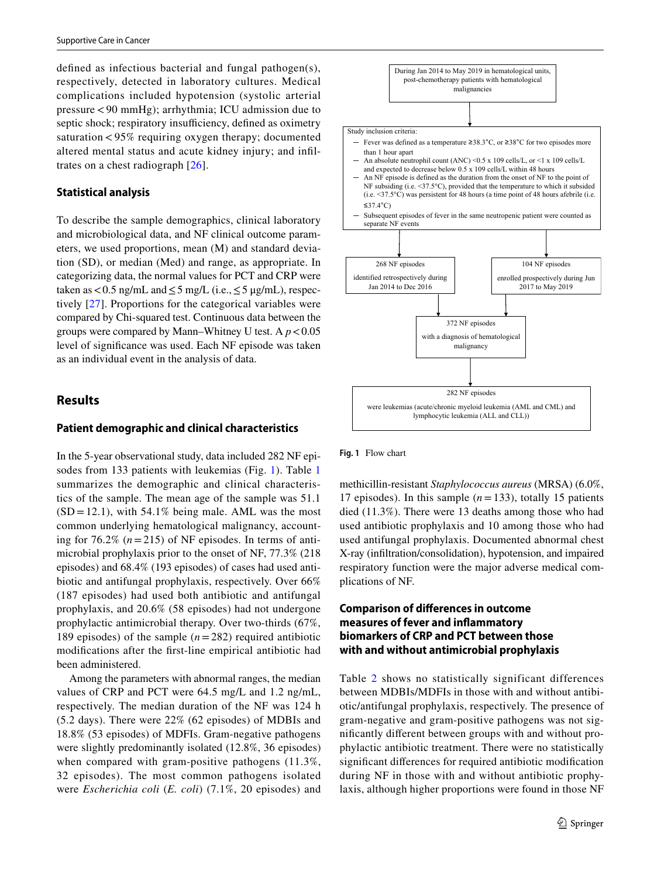defned as infectious bacterial and fungal pathogen(s), respectively, detected in laboratory cultures. Medical complications included hypotension (systolic arterial pressure<90 mmHg); arrhythmia; ICU admission due to septic shock; respiratory insufficiency, defined as oximetry saturation < 95% requiring oxygen therapy; documented altered mental status and acute kidney injury; and infltrates on a chest radiograph [[26](#page-8-2)].

#### **Statistical analysis**

To describe the sample demographics, clinical laboratory and microbiological data, and NF clinical outcome parameters, we used proportions, mean (M) and standard deviation (SD), or median (Med) and range, as appropriate. In categorizing data, the normal values for PCT and CRP were taken as <0.5 ng/mL and  $\leq$  5 mg/L (i.e.,  $\leq$  5 µg/mL), respectively [\[27\]](#page-8-3). Proportions for the categorical variables were compared by Chi-squared test. Continuous data between the groups were compared by Mann–Whitney U test. A  $p < 0.05$ level of signifcance was used. Each NF episode was taken as an individual event in the analysis of data.

# **Results**

#### **Patient demographic and clinical characteristics**

In the 5-year observational study, data included 282 NF episodes from 133 patients with leukemias (Fig. [1\)](#page-2-0). Table [1](#page-3-0) summarizes the demographic and clinical characteristics of the sample. The mean age of the sample was 51.1  $(SD = 12.1)$ , with 54.1% being male. AML was the most common underlying hematological malignancy, accounting for  $76.2\%$   $(n=215)$  of NF episodes. In terms of antimicrobial prophylaxis prior to the onset of NF, 77.3% (218 episodes) and 68.4% (193 episodes) of cases had used antibiotic and antifungal prophylaxis, respectively. Over 66% (187 episodes) had used both antibiotic and antifungal prophylaxis, and 20.6% (58 episodes) had not undergone prophylactic antimicrobial therapy. Over two-thirds (67%, 189 episodes) of the sample (*n*=282) required antibiotic modifcations after the frst-line empirical antibiotic had been administered.

Among the parameters with abnormal ranges, the median values of CRP and PCT were 64.5 mg/L and 1.2 ng/mL, respectively. The median duration of the NF was 124 h (5.2 days). There were 22% (62 episodes) of MDBIs and 18.8% (53 episodes) of MDFIs. Gram-negative pathogens were slightly predominantly isolated (12.8%, 36 episodes) when compared with gram-positive pathogens (11.3%, 32 episodes). The most common pathogens isolated were *Escherichia coli* (*E. coli*) (7.1%, 20 episodes) and



<span id="page-2-0"></span>**Fig. 1** Flow chart

methicillin-resistant *Staphylococcus aureus* (MRSA) (6.0%, 17 episodes). In this sample (*n*=133), totally 15 patients died (11.3%). There were 13 deaths among those who had used antibiotic prophylaxis and 10 among those who had used antifungal prophylaxis. Documented abnormal chest X-ray (infltration/consolidation), hypotension, and impaired respiratory function were the major adverse medical complications of NF.

# **Comparison of diferences in outcome measures of fever and infammatory biomarkers of CRP and PCT between those with and without antimicrobial prophylaxis**

Table [2](#page-4-0) shows no statistically significant differences between MDBIs/MDFIs in those with and without antibiotic/antifungal prophylaxis, respectively. The presence of gram-negative and gram-positive pathogens was not signifcantly diferent between groups with and without prophylactic antibiotic treatment. There were no statistically signifcant diferences for required antibiotic modifcation during NF in those with and without antibiotic prophylaxis, although higher proportions were found in those NF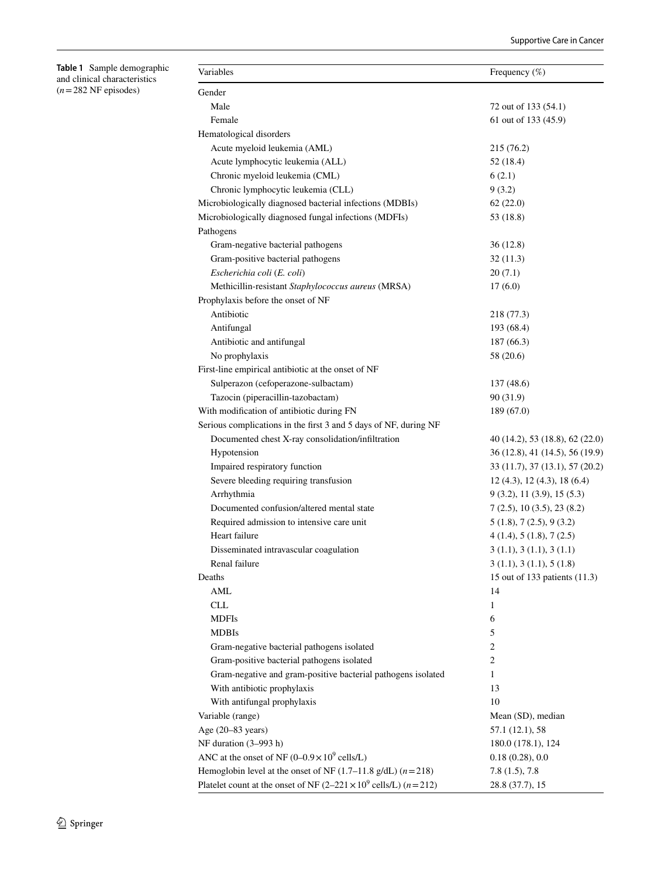<span id="page-3-0"></span>

| Table 1 Sample demographic    |
|-------------------------------|
| and clinical characteristics  |
| $(n=282 \text{ NF}$ episodes) |

| Variables                                                                         | Frequency $(\%)$                   |
|-----------------------------------------------------------------------------------|------------------------------------|
| Gender                                                                            |                                    |
| Male                                                                              | 72 out of 133 (54.1)               |
| Female                                                                            | 61 out of 133 (45.9)               |
| Hematological disorders                                                           |                                    |
| Acute myeloid leukemia (AML)                                                      | 215 (76.2)                         |
| Acute lymphocytic leukemia (ALL)                                                  | 52 (18.4)                          |
| Chronic myeloid leukemia (CML)                                                    | 6(2.1)                             |
| Chronic lymphocytic leukemia (CLL)                                                | 9(3.2)                             |
| Microbiologically diagnosed bacterial infections (MDBIs)                          | 62(22.0)                           |
| Microbiologically diagnosed fungal infections (MDFIs)                             | 53 (18.8)                          |
| Pathogens                                                                         |                                    |
| Gram-negative bacterial pathogens                                                 | 36(12.8)                           |
| Gram-positive bacterial pathogens                                                 | 32(11.3)                           |
| Escherichia coli (E. coli)                                                        | 20(7.1)                            |
| Methicillin-resistant Staphylococcus aureus (MRSA)                                | 17(6.0)                            |
| Prophylaxis before the onset of NF                                                |                                    |
| Antibiotic                                                                        | 218 (77.3)                         |
| Antifungal                                                                        | 193 (68.4)                         |
| Antibiotic and antifungal                                                         | 187(66.3)                          |
| No prophylaxis                                                                    | 58 (20.6)                          |
| First-line empirical antibiotic at the onset of NF                                |                                    |
| Sulperazon (cefoperazone-sulbactam)                                               | 137(48.6)                          |
| Tazocin (piperacillin-tazobactam)                                                 | 90 (31.9)                          |
| With modification of antibiotic during FN                                         | 189(67.0)                          |
| Serious complications in the first 3 and 5 days of NF, during NF                  |                                    |
| Documented chest X-ray consolidation/infiltration                                 | 40 (14.2), 53 (18.8), 62 (22.0)    |
| Hypotension                                                                       | 36 (12.8), 41 (14.5), 56 (19.9)    |
| Impaired respiratory function                                                     | 33 (11.7), 37 (13.1), 57 (20.2)    |
| Severe bleeding requiring transfusion                                             | $12$ (4.3), $12$ (4.3), $18$ (6.4) |
| Arrhythmia                                                                        |                                    |
| Documented confusion/altered mental state                                         | 9(3.2), 11(3.9), 15(5.3)           |
|                                                                                   | 7(2.5), 10(3.5), 23(8.2)           |
| Required admission to intensive care unit<br>Heart failure                        | 5(1.8), 7(2.5), 9(3.2)             |
|                                                                                   | 4(1.4), 5(1.8), 7(2.5)             |
| Disseminated intravascular coagulation                                            | 3(1.1), 3(1.1), 3(1.1)             |
| Renal failure                                                                     | 3(1.1), 3(1.1), 5(1.8)             |
| Deaths                                                                            | 15 out of 133 patients (11.3)      |
| AML                                                                               | 14                                 |
| <b>CLL</b>                                                                        | $\mathbf{1}$                       |
| <b>MDFIs</b>                                                                      | 6                                  |
| <b>MDBIs</b>                                                                      | 5                                  |
| Gram-negative bacterial pathogens isolated                                        | $\sqrt{2}$                         |
| Gram-positive bacterial pathogens isolated                                        | $\overline{c}$                     |
| Gram-negative and gram-positive bacterial pathogens isolated                      | $\mathbf{1}$                       |
| With antibiotic prophylaxis                                                       | 13                                 |
| With antifungal prophylaxis                                                       | 10                                 |
| Variable (range)                                                                  | Mean (SD), median                  |
| Age (20-83 years)                                                                 | 57.1 (12.1), 58                    |
| NF duration (3-993 h)                                                             | 180.0 (178.1), 124                 |
| ANC at the onset of NF $(0-0.9 \times 10^9 \text{ cells/L})$                      | 0.18(0.28), 0.0                    |
| Hemoglobin level at the onset of NF (1.7–11.8 g/dL) ( $n = 218$ )                 | $7.8(1.5)$ , 7.8                   |
| Platelet count at the onset of NF $(2-221 \times 10^9 \text{ cells/L})$ $(n=212)$ | 28.8 (37.7), 15                    |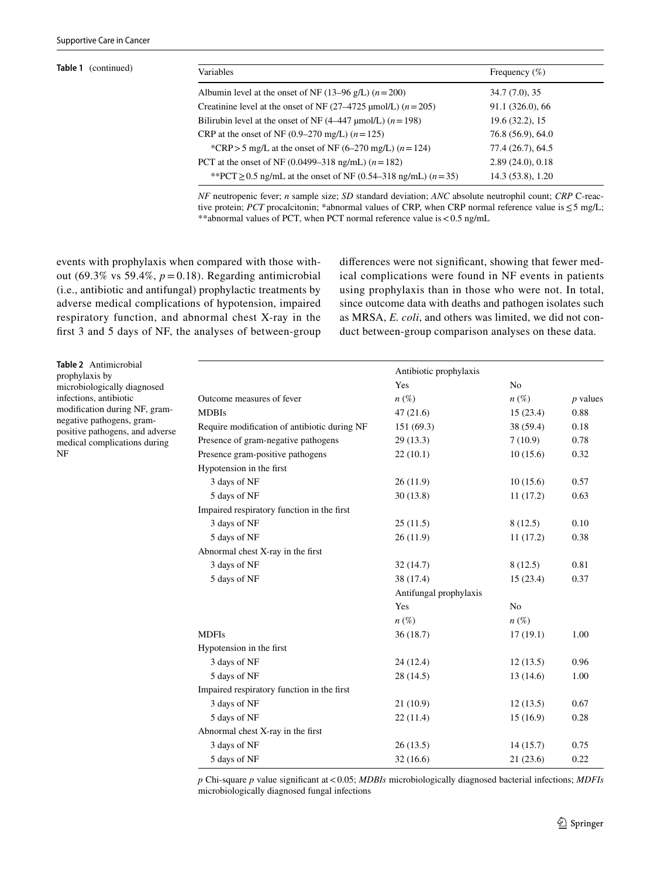| Table 1 (continued) | Variables                                                              | Frequency $(\%)$  |  |
|---------------------|------------------------------------------------------------------------|-------------------|--|
|                     | Albumin level at the onset of NF (13–96 g/L) $(n=200)$                 | 34.7 (7.0), 35    |  |
|                     | Creatinine level at the onset of NF $(27-4725 \text{ µmol/L}) (n=205)$ | 91.1 (326.0), 66  |  |
|                     | Bilirubin level at the onset of NF $(4-447 \mu mol/L)$ $(n=198)$       | 19.6 (32.2), 15   |  |
|                     | CRP at the onset of NF (0.9–270 mg/L) $(n = 125)$                      | 76.8 (56.9), 64.0 |  |
|                     | *CRP > 5 mg/L at the onset of NF (6–270 mg/L) ( $n = 124$ )            | 77.4 (26.7), 64.5 |  |
|                     | PCT at the onset of NF (0.0499–318 ng/mL) $(n=182)$                    | 2.89(24.0), 0.18  |  |
|                     | **PCT $\geq$ 0.5 ng/mL at the onset of NF (0.54–318 ng/mL) (n = 35)    | 14.3 (53.8), 1.20 |  |

*NF* neutropenic fever; *n* sample size; *SD* standard deviation; *ANC* absolute neutrophil count; *CRP* C-reactive protein; *PCT* procalcitonin; \*abnormal values of CRP, when CRP normal reference value is ≤5 mg/L; \*\*abnormal values of PCT, when PCT normal reference value is<0.5 ng/mL

events with prophylaxis when compared with those without (69.3% vs 59.4%,  $p = 0.18$ ). Regarding antimicrobial (i.e., antibiotic and antifungal) prophylactic treatments by adverse medical complications of hypotension, impaired respiratory function, and abnormal chest X-ray in the frst 3 and 5 days of NF, the analyses of between-group diferences were not signifcant, showing that fewer medical complications were found in NF events in patients using prophylaxis than in those who were not. In total, since outcome data with deaths and pathogen isolates such as MRSA, *E. coli*, and others was limited, we did not conduct between-group comparison analyses on these data.

<span id="page-4-0"></span>**Table 2** Antimicrobial prophylaxis by microbiologically diagnosed infections, antibiotic modifcation during NF, gramnegative pathogens, grampositive pathogens, and adverse medical complications during NF

|                                              | Antibiotic prophylaxis |                |            |  |
|----------------------------------------------|------------------------|----------------|------------|--|
|                                              | Yes                    | N <sub>0</sub> |            |  |
| Outcome measures of fever                    | $n(\%)$                | $n(\%)$        | $p$ values |  |
| <b>MDBIs</b>                                 | 47(21.6)               | 15(23.4)       | 0.88       |  |
| Require modification of antibiotic during NF | 151 (69.3)             | 38(59.4)       | 0.18       |  |
| Presence of gram-negative pathogens          | 29(13.3)               | 7(10.9)        | 0.78       |  |
| Presence gram-positive pathogens             | 22(10.1)               | 10(15.6)       | 0.32       |  |
| Hypotension in the first                     |                        |                |            |  |
| 3 days of NF                                 | 26(11.9)               | 10(15.6)       | 0.57       |  |
| 5 days of NF                                 | 30(13.8)               | 11(17.2)       | 0.63       |  |
| Impaired respiratory function in the first   |                        |                |            |  |
| 3 days of NF                                 | 25(11.5)               | 8(12.5)        | 0.10       |  |
| 5 days of NF                                 | 26(11.9)               | 11(17.2)       | 0.38       |  |
| Abnormal chest X-ray in the first            |                        |                |            |  |
| 3 days of NF                                 | 32(14.7)               | 8(12.5)        | 0.81       |  |
| 5 days of NF                                 | 38 (17.4)              | 15(23.4)       | 0.37       |  |
|                                              | Antifungal prophylaxis |                |            |  |
|                                              | Yes                    | N <sub>0</sub> |            |  |
|                                              | $n\left(\%\right)$     | $n(\%)$        |            |  |
| <b>MDFIs</b>                                 | 36(18.7)               | 17(19.1)       | 1.00       |  |
| Hypotension in the first                     |                        |                |            |  |
| 3 days of NF                                 | 24 (12.4)              | 12(13.5)       | 0.96       |  |
| 5 days of NF                                 | 28 (14.5)              | 13(14.6)       | 1.00       |  |
| Impaired respiratory function in the first   |                        |                |            |  |
| 3 days of NF                                 | 21(10.9)               | 12(13.5)       | 0.67       |  |
| 5 days of NF                                 | 22(11.4)               | 15(16.9)       | 0.28       |  |
| Abnormal chest X-ray in the first            |                        |                |            |  |
| 3 days of NF                                 | 26(13.5)               | 14(15.7)       | 0.75       |  |
| 5 days of NF                                 | 32(16.6)               | 21(23.6)       | 0.22       |  |

*p* Chi-square *p* value signifcant at<0.05; *MDBIs* microbiologically diagnosed bacterial infections; *MDFIs* microbiologically diagnosed fungal infections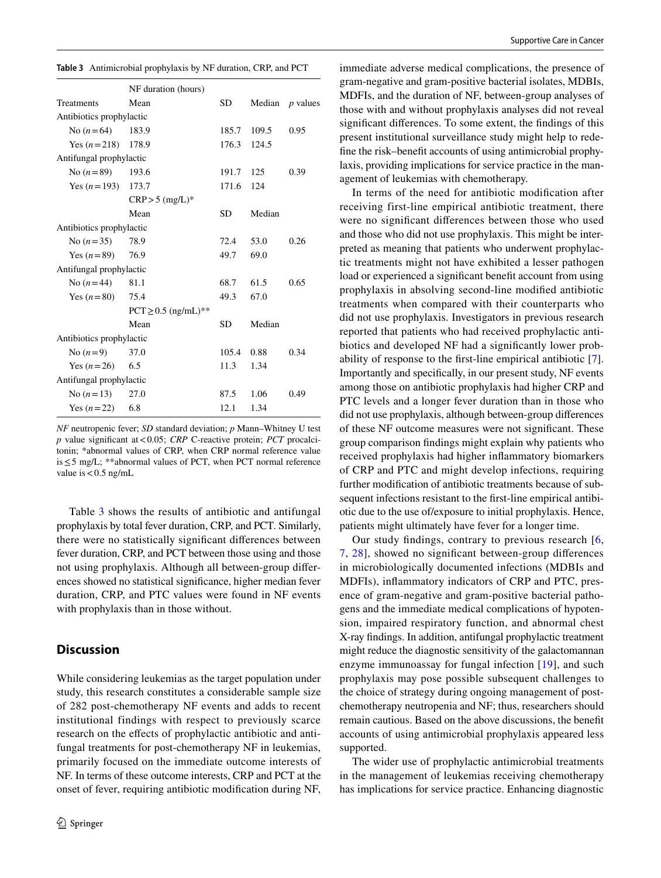<span id="page-5-0"></span>

| <b>Table 3</b> Antimicrobial prophylaxis by NF duration, CRP, and PCT |
|-----------------------------------------------------------------------|
|-----------------------------------------------------------------------|

|                          | NF duration (hours)     |           |        |                 |
|--------------------------|-------------------------|-----------|--------|-----------------|
| Treatments               | Mean                    | SD.       | Median | <i>p</i> values |
| Antibiotics prophylactic |                         |           |        |                 |
| No $(n=64)$              | 183.9                   | 185.7     | 109.5  | 0.95            |
| Yes $(n=218)$ 178.9      |                         | 176.3     | 124.5  |                 |
| Antifungal prophylactic  |                         |           |        |                 |
| No $(n=89)$              | 193.6                   | 191.7     | 125    | 0.39            |
| Yes $(n=193)$ 173.7      |                         | 171.6     | 124    |                 |
|                          | $CRP > 5$ (mg/L)*       |           |        |                 |
|                          | Mean                    | <b>SD</b> | Median |                 |
| Antibiotics prophylactic |                         |           |        |                 |
| No $(n=35)$              | 78.9                    | 72.4      | 53.0   | 0.26            |
| Yes $(n=89)$             | 76.9                    | 49.7      | 69.0   |                 |
| Antifungal prophylactic  |                         |           |        |                 |
| No $(n=44)$              | 81.1                    | 68.7      | 61.5   | 0.65            |
| Yes $(n=80)$ 75.4        |                         | 49.3      | 67.0   |                 |
|                          | $PCT \ge 0.5$ (ng/mL)** |           |        |                 |
|                          | Mean                    | SD        | Median |                 |
| Antibiotics prophylactic |                         |           |        |                 |
| No $(n=9)$               | 37.0                    | 105.4     | 0.88   | 0.34            |
| Yes $(n=26)$             | 6.5                     | 11.3      | 1.34   |                 |
| Antifungal prophylactic  |                         |           |        |                 |
| No $(n=13)$              | 27.0                    | 87.5      | 1.06   | 0.49            |
| Yes $(n=22)$ 6.8         |                         | 12.1      | 1.34   |                 |

*NF* neutropenic fever; *SD* standard deviation; *p* Mann–Whitney U test *p* value signifcant at<0.05; *CRP* C-reactive protein; *PCT* procalcitonin; \*abnormal values of CRP, when CRP normal reference value is≤5 mg/L; \*\*abnormal values of PCT, when PCT normal reference value is  $< 0.5$  ng/mL

Table [3](#page-5-0) shows the results of antibiotic and antifungal prophylaxis by total fever duration, CRP, and PCT. Similarly, there were no statistically signifcant diferences between fever duration, CRP, and PCT between those using and those not using prophylaxis. Although all between-group diferences showed no statistical signifcance, higher median fever duration, CRP, and PTC values were found in NF events with prophylaxis than in those without.

### **Discussion**

While considering leukemias as the target population under study, this research constitutes a considerable sample size of 282 post-chemotherapy NF events and adds to recent institutional findings with respect to previously scarce research on the efects of prophylactic antibiotic and antifungal treatments for post-chemotherapy NF in leukemias, primarily focused on the immediate outcome interests of NF. In terms of these outcome interests, CRP and PCT at the onset of fever, requiring antibiotic modifcation during NF, immediate adverse medical complications, the presence of gram-negative and gram-positive bacterial isolates, MDBIs, MDFIs, and the duration of NF, between-group analyses of those with and without prophylaxis analyses did not reveal signifcant diferences. To some extent, the fndings of this present institutional surveillance study might help to redefne the risk–beneft accounts of using antimicrobial prophylaxis, providing implications for service practice in the management of leukemias with chemotherapy.

In terms of the need for antibiotic modifcation after receiving first-line empirical antibiotic treatment, there were no signifcant diferences between those who used and those who did not use prophylaxis. This might be interpreted as meaning that patients who underwent prophylactic treatments might not have exhibited a lesser pathogen load or experienced a signifcant beneft account from using prophylaxis in absolving second-line modifed antibiotic treatments when compared with their counterparts who did not use prophylaxis. Investigators in previous research reported that patients who had received prophylactic antibiotics and developed NF had a signifcantly lower probability of response to the frst-line empirical antibiotic [\[7](#page-7-3)]. Importantly and specifcally, in our present study, NF events among those on antibiotic prophylaxis had higher CRP and PTC levels and a longer fever duration than in those who did not use prophylaxis, although between-group diferences of these NF outcome measures were not signifcant. These group comparison fndings might explain why patients who received prophylaxis had higher infammatory biomarkers of CRP and PTC and might develop infections, requiring further modifcation of antibiotic treatments because of subsequent infections resistant to the frst-line empirical antibiotic due to the use of/exposure to initial prophylaxis. Hence, patients might ultimately have fever for a longer time.

Our study fndings, contrary to previous research [[6,](#page-7-2) [7](#page-7-3), [28\]](#page-8-4), showed no signifcant between-group diferences in microbiologically documented infections (MDBIs and MDFIs), infammatory indicators of CRP and PTC, presence of gram-negative and gram-positive bacterial pathogens and the immediate medical complications of hypotension, impaired respiratory function, and abnormal chest X-ray fndings. In addition, antifungal prophylactic treatment might reduce the diagnostic sensitivity of the galactomannan enzyme immunoassay for fungal infection [[19](#page-7-12)], and such prophylaxis may pose possible subsequent challenges to the choice of strategy during ongoing management of postchemotherapy neutropenia and NF; thus, researchers should remain cautious. Based on the above discussions, the beneft accounts of using antimicrobial prophylaxis appeared less supported.

The wider use of prophylactic antimicrobial treatments in the management of leukemias receiving chemotherapy has implications for service practice. Enhancing diagnostic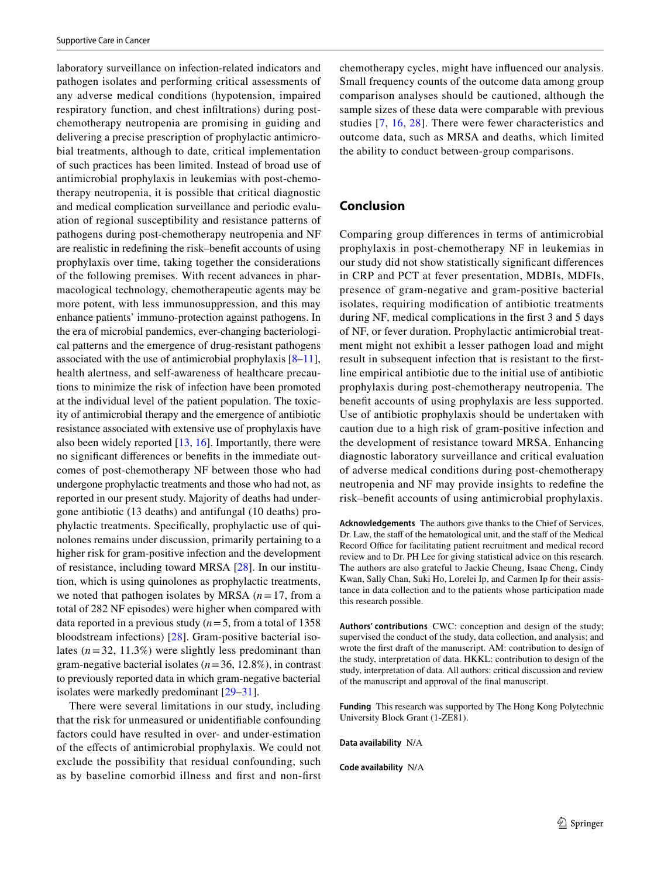laboratory surveillance on infection-related indicators and pathogen isolates and performing critical assessments of any adverse medical conditions (hypotension, impaired respiratory function, and chest infltrations) during postchemotherapy neutropenia are promising in guiding and delivering a precise prescription of prophylactic antimicrobial treatments, although to date, critical implementation of such practices has been limited. Instead of broad use of antimicrobial prophylaxis in leukemias with post-chemotherapy neutropenia, it is possible that critical diagnostic and medical complication surveillance and periodic evaluation of regional susceptibility and resistance patterns of pathogens during post-chemotherapy neutropenia and NF are realistic in redefning the risk–beneft accounts of using prophylaxis over time, taking together the considerations of the following premises. With recent advances in pharmacological technology, chemotherapeutic agents may be more potent, with less immunosuppression, and this may enhance patients' immuno-protection against pathogens. In the era of microbial pandemics, ever-changing bacteriological patterns and the emergence of drug-resistant pathogens associated with the use of antimicrobial prophylaxis  $[8-11]$  $[8-11]$ , health alertness, and self-awareness of healthcare precautions to minimize the risk of infection have been promoted at the individual level of the patient population. The toxicity of antimicrobial therapy and the emergence of antibiotic resistance associated with extensive use of prophylaxis have also been widely reported  $[13, 16]$  $[13, 16]$  $[13, 16]$  $[13, 16]$  $[13, 16]$ . Importantly, there were no signifcant diferences or benefts in the immediate outcomes of post-chemotherapy NF between those who had undergone prophylactic treatments and those who had not, as reported in our present study. Majority of deaths had undergone antibiotic (13 deaths) and antifungal (10 deaths) prophylactic treatments. Specifcally, prophylactic use of quinolones remains under discussion, primarily pertaining to a higher risk for gram-positive infection and the development of resistance, including toward MRSA [[28](#page-8-4)]. In our institution, which is using quinolones as prophylactic treatments, we noted that pathogen isolates by MRSA (*n*=17, from a total of 282 NF episodes) were higher when compared with data reported in a previous study  $(n=5, \text{ from a total of } 1358)$ bloodstream infections) [\[28\]](#page-8-4). Gram-positive bacterial isolates  $(n=32, 11.3\%)$  were slightly less predominant than gram-negative bacterial isolates (*n*=36, 12.8%), in contrast to previously reported data in which gram-negative bacterial isolates were markedly predominant [[29–](#page-8-5)[31](#page-8-6)].

There were several limitations in our study, including that the risk for unmeasured or unidentifable confounding factors could have resulted in over- and under-estimation of the efects of antimicrobial prophylaxis. We could not exclude the possibility that residual confounding, such as by baseline comorbid illness and frst and non-frst chemotherapy cycles, might have infuenced our analysis. Small frequency counts of the outcome data among group comparison analyses should be cautioned, although the sample sizes of these data were comparable with previous studies [[7](#page-7-3), [16](#page-7-9), [28\]](#page-8-4). There were fewer characteristics and outcome data, such as MRSA and deaths, which limited the ability to conduct between-group comparisons.

# **Conclusion**

Comparing group diferences in terms of antimicrobial prophylaxis in post-chemotherapy NF in leukemias in our study did not show statistically signifcant diferences in CRP and PCT at fever presentation, MDBIs, MDFIs, presence of gram-negative and gram-positive bacterial isolates, requiring modifcation of antibiotic treatments during NF, medical complications in the frst 3 and 5 days of NF, or fever duration. Prophylactic antimicrobial treatment might not exhibit a lesser pathogen load and might result in subsequent infection that is resistant to the frstline empirical antibiotic due to the initial use of antibiotic prophylaxis during post-chemotherapy neutropenia. The beneft accounts of using prophylaxis are less supported. Use of antibiotic prophylaxis should be undertaken with caution due to a high risk of gram-positive infection and the development of resistance toward MRSA. Enhancing diagnostic laboratory surveillance and critical evaluation of adverse medical conditions during post-chemotherapy neutropenia and NF may provide insights to redefne the risk–beneft accounts of using antimicrobial prophylaxis.

**Acknowledgements** The authors give thanks to the Chief of Services, Dr. Law, the staff of the hematological unit, and the staff of the Medical Record Office for facilitating patient recruitment and medical record review and to Dr. PH Lee for giving statistical advice on this research. The authors are also grateful to Jackie Cheung, Isaac Cheng, Cindy Kwan, Sally Chan, Suki Ho, Lorelei Ip, and Carmen Ip for their assistance in data collection and to the patients whose participation made this research possible.

**Authors' contributions** CWC: conception and design of the study; supervised the conduct of the study, data collection, and analysis; and wrote the frst draft of the manuscript. AM: contribution to design of the study, interpretation of data. HKKL: contribution to design of the study, interpretation of data. All authors: critical discussion and review of the manuscript and approval of the fnal manuscript.

**Funding** This research was supported by The Hong Kong Polytechnic University Block Grant (1-ZE81).

**Data availability** N/A

**Code availability** N/A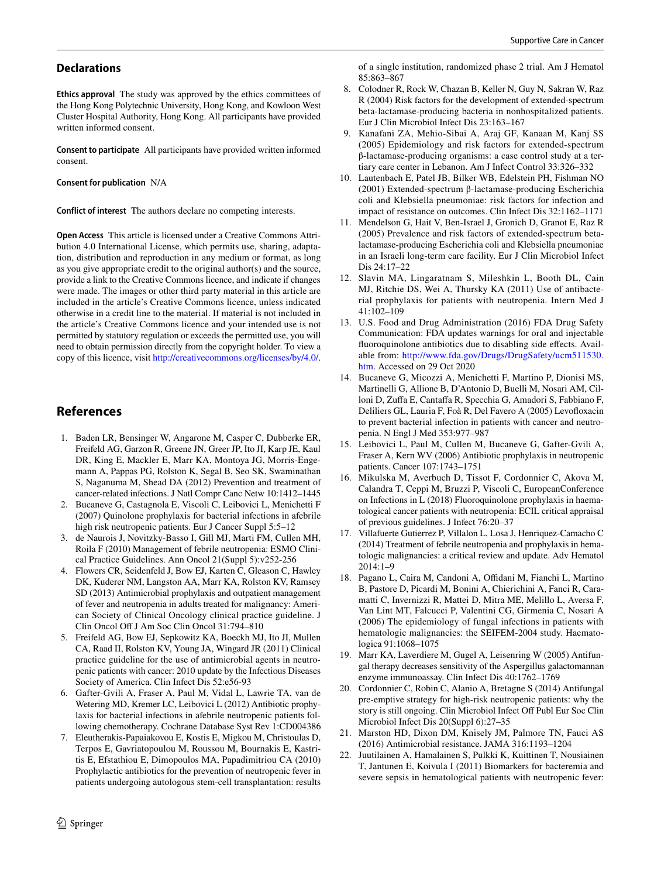# **Declarations**

**Ethics approval** The study was approved by the ethics committees of the Hong Kong Polytechnic University, Hong Kong, and Kowloon West Cluster Hospital Authority, Hong Kong. All participants have provided written informed consent.

**Consent to participate** All participants have provided written informed consent.

**Consent for publication** N/A

**Conflict of interest** The authors declare no competing interests.

**Open Access** This article is licensed under a Creative Commons Attribution 4.0 International License, which permits use, sharing, adaptation, distribution and reproduction in any medium or format, as long as you give appropriate credit to the original author(s) and the source, provide a link to the Creative Commons licence, and indicate if changes were made. The images or other third party material in this article are included in the article's Creative Commons licence, unless indicated otherwise in a credit line to the material. If material is not included in the article's Creative Commons licence and your intended use is not permitted by statutory regulation or exceeds the permitted use, you will need to obtain permission directly from the copyright holder. To view a copy of this licence, visit <http://creativecommons.org/licenses/by/4.0/>.

# **References**

- <span id="page-7-0"></span>1. Baden LR, Bensinger W, Angarone M, Casper C, Dubberke ER, Freifeld AG, Garzon R, Greene JN, Greer JP, Ito JI, Karp JE, Kaul DR, King E, Mackler E, Marr KA, Montoya JG, Morris-Engemann A, Pappas PG, Rolston K, Segal B, Seo SK, Swaminathan S, Naganuma M, Shead DA (2012) Prevention and treatment of cancer-related infections. J Natl Compr Canc Netw 10:1412–1445
- 2. Bucaneve G, Castagnola E, Viscoli C, Leibovici L, Menichetti F (2007) Quinolone prophylaxis for bacterial infections in afebrile high risk neutropenic patients. Eur J Cancer Suppl 5:5–12
- 3. de Naurois J, Novitzky-Basso I, Gill MJ, Marti FM, Cullen MH, Roila F (2010) Management of febrile neutropenia: ESMO Clinical Practice Guidelines. Ann Oncol 21(Suppl 5):v252-256
- 4. Flowers CR, Seidenfeld J, Bow EJ, Karten C, Gleason C, Hawley DK, Kuderer NM, Langston AA, Marr KA, Rolston KV, Ramsey SD (2013) Antimicrobial prophylaxis and outpatient management of fever and neutropenia in adults treated for malignancy: American Society of Clinical Oncology clinical practice guideline. J Clin Oncol Of J Am Soc Clin Oncol 31:794–810
- <span id="page-7-1"></span>5. Freifeld AG, Bow EJ, Sepkowitz KA, Boeckh MJ, Ito JI, Mullen CA, Raad II, Rolston KV, Young JA, Wingard JR (2011) Clinical practice guideline for the use of antimicrobial agents in neutropenic patients with cancer: 2010 update by the Infectious Diseases Society of America. Clin Infect Dis 52:e56-93
- <span id="page-7-2"></span>6. Gafter-Gvili A, Fraser A, Paul M, Vidal L, Lawrie TA, van de Wetering MD, Kremer LC, Leibovici L (2012) Antibiotic prophylaxis for bacterial infections in afebrile neutropenic patients following chemotherapy. Cochrane Database Syst Rev 1:CD004386
- <span id="page-7-3"></span>7. Eleutherakis-Papaiakovou E, Kostis E, Migkou M, Christoulas D, Terpos E, Gavriatopoulou M, Roussou M, Bournakis E, Kastritis E, Efstathiou E, Dimopoulos MA, Papadimitriou CA (2010) Prophylactic antibiotics for the prevention of neutropenic fever in patients undergoing autologous stem-cell transplantation: results

of a single institution, randomized phase 2 trial. Am J Hematol 85:863–867

- <span id="page-7-4"></span>8. Colodner R, Rock W, Chazan B, Keller N, Guy N, Sakran W, Raz R (2004) Risk factors for the development of extended-spectrum beta-lactamase-producing bacteria in nonhospitalized patients. Eur J Clin Microbiol Infect Dis 23:163–167
- 9. Kanafani ZA, Mehio-Sibai A, Araj GF, Kanaan M, Kanj SS (2005) Epidemiology and risk factors for extended-spectrum β-lactamase-producing organisms: a case control study at a tertiary care center in Lebanon. Am J Infect Control 33:326–332
- 10. Lautenbach E, Patel JB, Bilker WB, Edelstein PH, Fishman NO (2001) Extended-spectrum β-lactamase-producing Escherichia coli and Klebsiella pneumoniae: risk factors for infection and impact of resistance on outcomes. Clin Infect Dis 32:1162–1171
- <span id="page-7-5"></span>11. Mendelson G, Hait V, Ben-Israel J, Gronich D, Granot E, Raz R (2005) Prevalence and risk factors of extended-spectrum betalactamase-producing Escherichia coli and Klebsiella pneumoniae in an Israeli long-term care facility. Eur J Clin Microbiol Infect Dis 24:17–22
- <span id="page-7-6"></span>12. Slavin MA, Lingaratnam S, Mileshkin L, Booth DL, Cain MJ, Ritchie DS, Wei A, Thursky KA (2011) Use of antibacterial prophylaxis for patients with neutropenia. Intern Med J 41:102–109
- <span id="page-7-7"></span>13. U.S. Food and Drug Administration (2016) FDA Drug Safety Communication: FDA updates warnings for oral and injectable fluoroquinolone antibiotics due to disabling side effects. Available from: [http://www.fda.gov/Drugs/DrugSafety/ucm511530.](http://www.fda.gov/Drugs/DrugSafety/ucm511530.htm) [htm.](http://www.fda.gov/Drugs/DrugSafety/ucm511530.htm) Accessed on 29 Oct 2020
- <span id="page-7-8"></span>14. Bucaneve G, Micozzi A, Menichetti F, Martino P, Dionisi MS, Martinelli G, Allione B, D'Antonio D, Buelli M, Nosari AM, Cilloni D, Zufa E, Cantafa R, Specchia G, Amadori S, Fabbiano F, Deliliers GL, Lauria F, Foà R, Del Favero A (2005) Levofoxacin to prevent bacterial infection in patients with cancer and neutropenia. N Engl J Med 353:977–987
- 15. Leibovici L, Paul M, Cullen M, Bucaneve G, Gafter-Gvili A, Fraser A, Kern WV (2006) Antibiotic prophylaxis in neutropenic patients. Cancer 107:1743–1751
- <span id="page-7-9"></span>16. Mikulska M, Averbuch D, Tissot F, Cordonnier C, Akova M, Calandra T, Ceppi M, Bruzzi P, Viscoli C, EuropeanConference on Infections in L (2018) Fluoroquinolone prophylaxis in haematological cancer patients with neutropenia: ECIL critical appraisal of previous guidelines. J Infect 76:20–37
- <span id="page-7-10"></span>17. Villafuerte Gutierrez P, Villalon L, Losa J, Henriquez-Camacho C (2014) Treatment of febrile neutropenia and prophylaxis in hematologic malignancies: a critical review and update. Adv Hematol  $2014 \cdot 1 - 9$
- <span id="page-7-11"></span>18. Pagano L, Caira M, Candoni A, Offidani M, Fianchi L, Martino B, Pastore D, Picardi M, Bonini A, Chierichini A, Fanci R, Caramatti C, Invernizzi R, Mattei D, Mitra ME, Melillo L, Aversa F, Van Lint MT, Falcucci P, Valentini CG, Girmenia C, Nosari A (2006) The epidemiology of fungal infections in patients with hematologic malignancies: the SEIFEM-2004 study. Haematologica 91:1068–1075
- <span id="page-7-12"></span>19. Marr KA, Laverdiere M, Gugel A, Leisenring W (2005) Antifungal therapy decreases sensitivity of the Aspergillus galactomannan enzyme immunoassay. Clin Infect Dis 40:1762–1769
- <span id="page-7-13"></span>20. Cordonnier C, Robin C, Alanio A, Bretagne S (2014) Antifungal pre-emptive strategy for high-risk neutropenic patients: why the story is still ongoing. Clin Microbiol Infect Of Publ Eur Soc Clin Microbiol Infect Dis 20(Suppl 6):27–35
- <span id="page-7-14"></span>21. Marston HD, Dixon DM, Knisely JM, Palmore TN, Fauci AS (2016) Antimicrobial resistance. JAMA 316:1193–1204
- <span id="page-7-15"></span>22. Juutilainen A, Hamalainen S, Pulkki K, Kuittinen T, Nousiainen T, Jantunen E, Koivula I (2011) Biomarkers for bacteremia and severe sepsis in hematological patients with neutropenic fever: